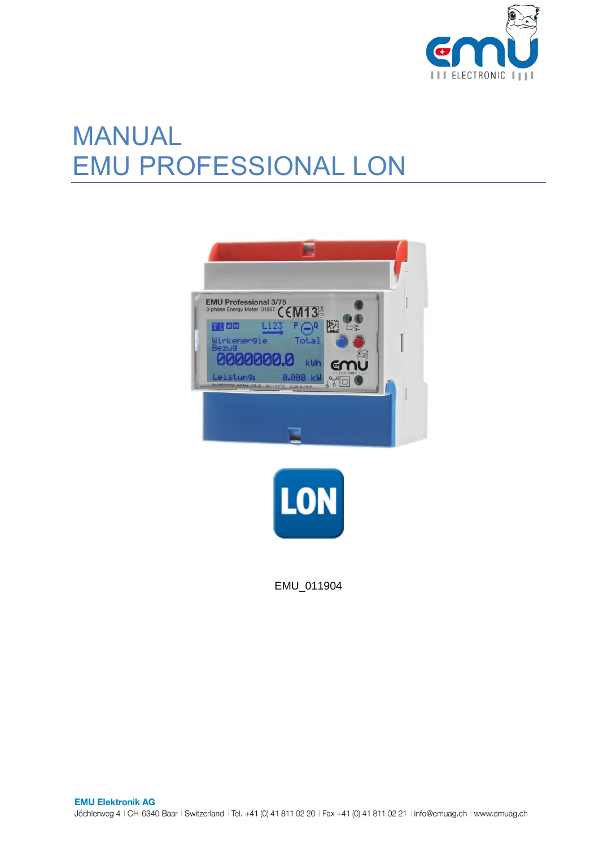

# MANUAL EMU PROFESSIONAL LON





EMU\_011904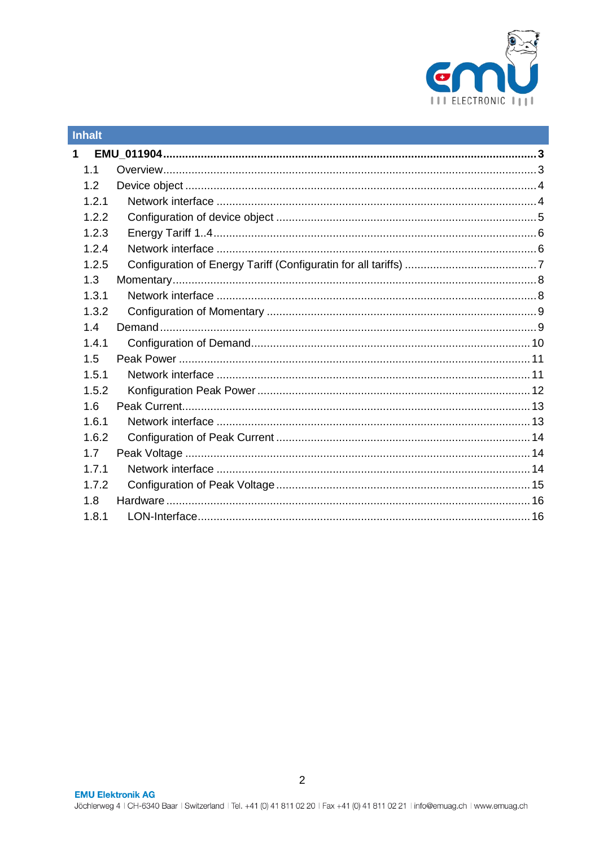

| <b>Inhalt</b> |  |
|---------------|--|
| $\mathbf 1$   |  |
| 1.1           |  |
| 1.2           |  |
| 1.2.1         |  |
| 1.2.2         |  |
| 1.2.3         |  |
| 1.2.4         |  |
| 1.2.5         |  |
| 1.3           |  |
| 1.3.1         |  |
| 1.3.2         |  |
| 1.4           |  |
| 1.4.1         |  |
| 1.5           |  |
| 1.5.1         |  |
| 1.5.2         |  |
| 1.6           |  |
| 1.6.1         |  |
| 1.6.2         |  |
| 1.7           |  |
| 1.7.1         |  |
| 1.7.2         |  |
| 1.8           |  |
| 1.8.1         |  |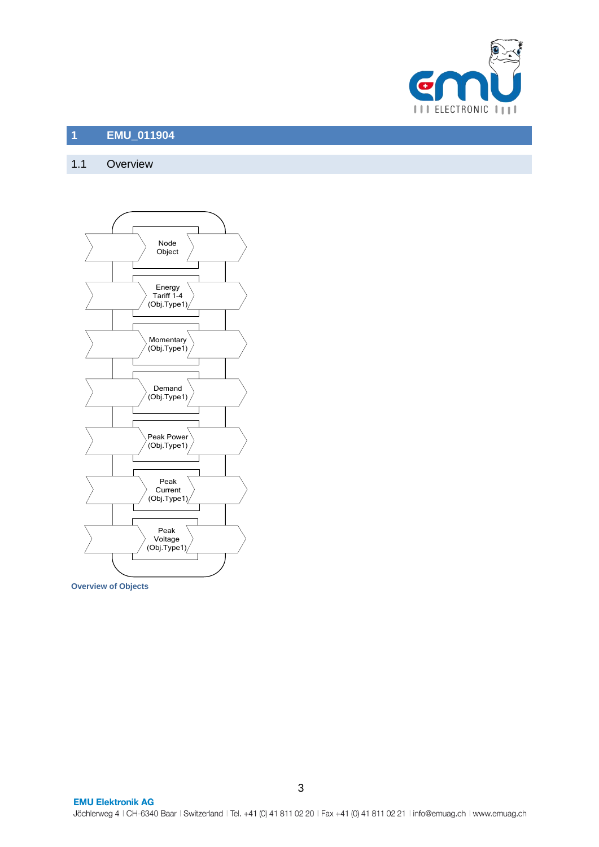

#### <span id="page-2-0"></span>**1 EMU\_011904**

# <span id="page-2-1"></span>1.1 Overview



**Overview of Objects**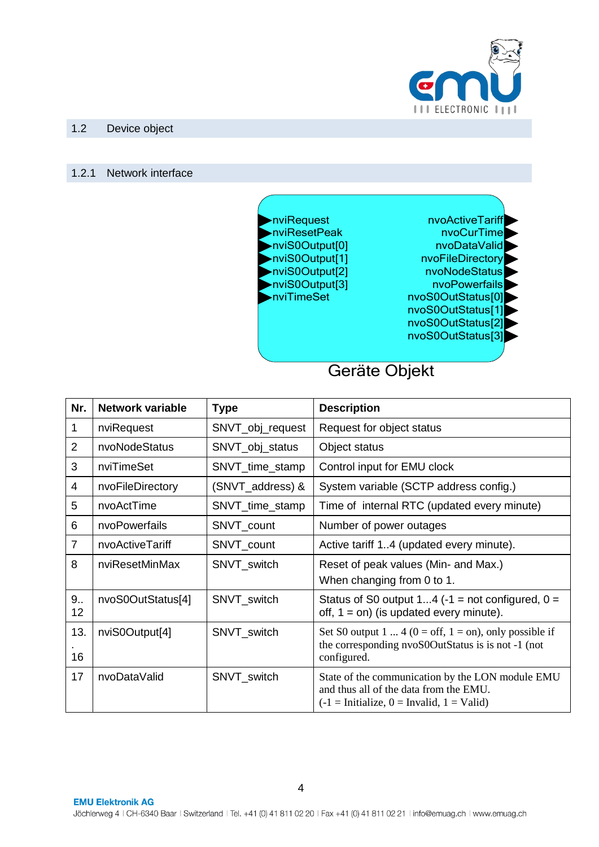

#### <span id="page-3-0"></span>1.2 Device object

#### <span id="page-3-1"></span>1.2.1 Network interface



Geräte Objekt

| Nr.            | <b>Network variable</b> | <b>Type</b>      | <b>Description</b>                                                                                                                                             |
|----------------|-------------------------|------------------|----------------------------------------------------------------------------------------------------------------------------------------------------------------|
| 1              | nviRequest              | SNVT_obj_request | Request for object status                                                                                                                                      |
| $\overline{2}$ | nvoNodeStatus           | SNVT_obj_status  | Object status                                                                                                                                                  |
| 3              | nviTimeSet              | SNVT_time_stamp  | Control input for EMU clock                                                                                                                                    |
| 4              | nvoFileDirectory        | (SNVT_address) & | System variable (SCTP address config.)                                                                                                                         |
| 5              | nvoActTime              | SNVT_time_stamp  | Time of internal RTC (updated every minute)                                                                                                                    |
| 6              | nvoPowerfails           | SNVT_count       | Number of power outages                                                                                                                                        |
| $\overline{7}$ | nvoActiveTariff         | SNVT_count       | Active tariff 14 (updated every minute).                                                                                                                       |
| 8              | nviResetMinMax          | SNVT_switch      | Reset of peak values (Min- and Max.)                                                                                                                           |
|                |                         |                  | When changing from 0 to 1.                                                                                                                                     |
| 9<br>12        | nvoS0OutStatus[4]       | SNVT_switch      | Status of S0 output 14 (-1 = not configured, $0 =$<br>off, $1 = \text{on}$ ) (is updated every minute).                                                        |
| 13.            | nviS0Output[4]          | SNVT_switch      | Set S0 output 1  4 ( $0 = \text{off}$ , $1 = \text{on}$ ), only possible if                                                                                    |
| 16             |                         |                  | the corresponding nvoS0OutStatus is is not -1 (not<br>configured.                                                                                              |
| 17             | nvoDataValid            | SNVT_switch      | State of the communication by the LON module EMU<br>and thus all of the data from the EMU.<br>$(-1 = \text{Initialize}, 0 = \text{Invalid}, 1 = \text{Valid})$ |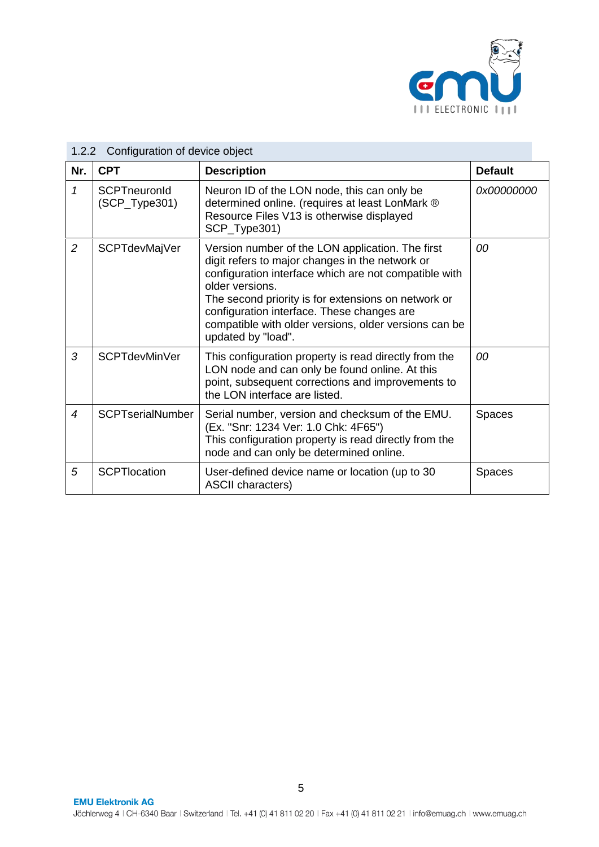

|                  | 1.2.2 Configuration of device object   |                                                                                                                                                                                                                                                                                                                                                                     |                |  |  |  |
|------------------|----------------------------------------|---------------------------------------------------------------------------------------------------------------------------------------------------------------------------------------------------------------------------------------------------------------------------------------------------------------------------------------------------------------------|----------------|--|--|--|
| Nr.              | <b>CPT</b>                             | <b>Description</b>                                                                                                                                                                                                                                                                                                                                                  | <b>Default</b> |  |  |  |
| 1                | <b>SCPTneuronId</b><br>$(SCP_Type301)$ | Neuron ID of the LON node, this can only be<br>determined online. (requires at least LonMark ®<br>Resource Files V13 is otherwise displayed<br>SCP_Type301)                                                                                                                                                                                                         | 0x00000000     |  |  |  |
| $\overline{2}$   | <b>SCPTdevMajVer</b>                   | Version number of the LON application. The first<br>digit refers to major changes in the network or<br>configuration interface which are not compatible with<br>older versions.<br>The second priority is for extensions on network or<br>configuration interface. These changes are<br>compatible with older versions, older versions can be<br>updated by "load". | 00             |  |  |  |
| 3                | <b>SCPTdevMinVer</b>                   | This configuration property is read directly from the<br>LON node and can only be found online. At this<br>point, subsequent corrections and improvements to<br>the LON interface are listed.                                                                                                                                                                       | 00             |  |  |  |
| $\boldsymbol{4}$ | <b>SCPTserialNumber</b>                | Serial number, version and checksum of the EMU.<br>(Ex. "Snr: 1234 Ver: 1.0 Chk: 4F65")<br>This configuration property is read directly from the<br>node and can only be determined online.                                                                                                                                                                         | <b>Spaces</b>  |  |  |  |
| 5                | <b>SCPTIocation</b>                    | User-defined device name or location (up to 30<br><b>ASCII characters)</b>                                                                                                                                                                                                                                                                                          | <b>Spaces</b>  |  |  |  |

#### <span id="page-4-0"></span>1.2.2 Configuration of device object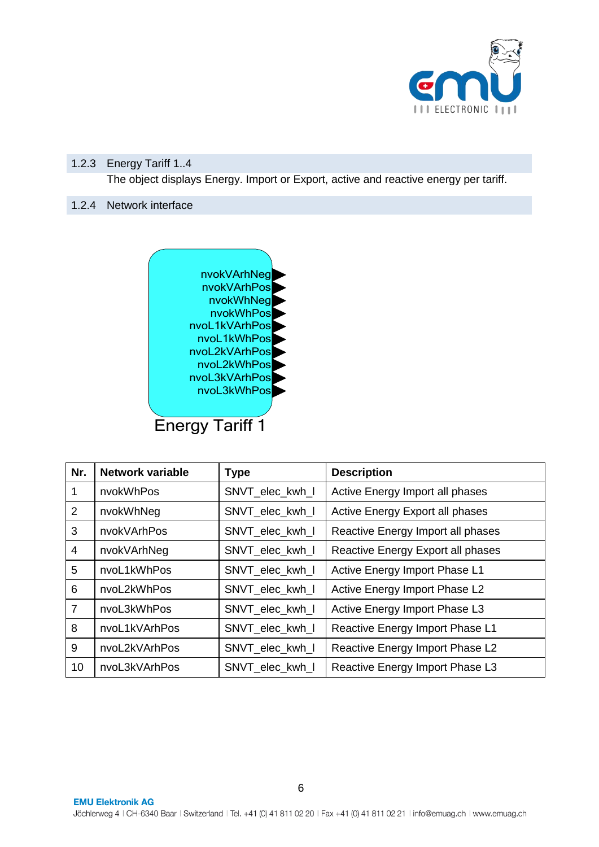

# <span id="page-5-0"></span>1.2.3 Energy Tariff 1..4

The object displays Energy. Import or Export, active and reactive energy per tariff.

## <span id="page-5-1"></span>1.2.4 Network interface



| Nr.            | <b>Network variable</b> | <b>Type</b>     | <b>Description</b>                |
|----------------|-------------------------|-----------------|-----------------------------------|
| 1              | nvokWhPos               | SNVT_elec_kwh_l | Active Energy Import all phases   |
| 2              | nvokWhNeg               | SNVT_elec_kwh_l | Active Energy Export all phases   |
| 3              | nvokVArhPos             | SNVT_elec_kwh_l | Reactive Energy Import all phases |
| $\overline{4}$ | nvokVArhNeg             | SNVT_elec_kwh_l | Reactive Energy Export all phases |
| 5              | nvoL1kWhPos             | SNVT_elec_kwh_l | Active Energy Import Phase L1     |
| 6              | nvoL2kWhPos             | SNVT elec kwh I | Active Energy Import Phase L2     |
| $\overline{7}$ | nvoL3kWhPos             | SNVT_elec_kwh_l | Active Energy Import Phase L3     |
| 8              | nvoL1kVArhPos           | SNVT_elec_kwh_l | Reactive Energy Import Phase L1   |
| 9              | nvoL2kVArhPos           | SNVT_elec_kwh_l | Reactive Energy Import Phase L2   |
| 10             | nvoL3kVArhPos           | SNVT_elec_kwh_l | Reactive Energy Import Phase L3   |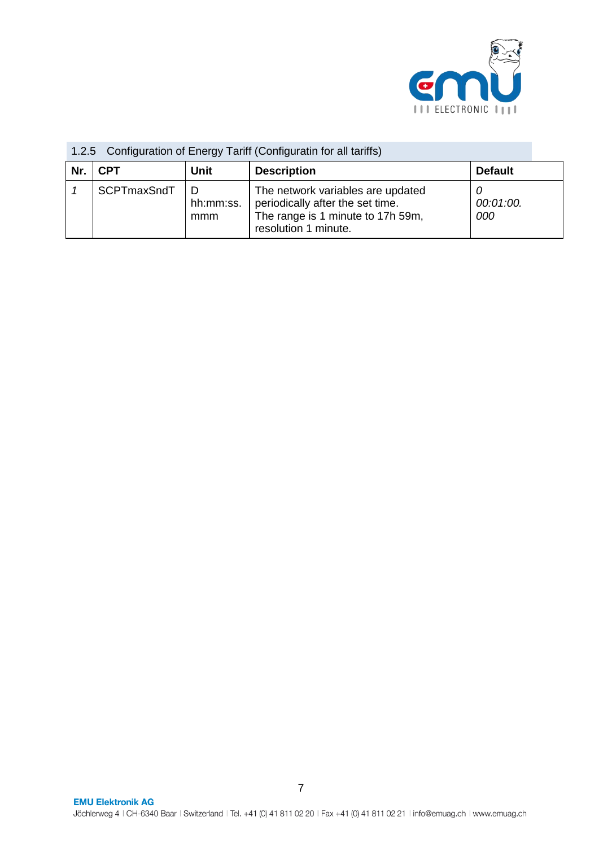

| Nr. | <b>CPT</b>  | Unit             | <b>Description</b>                                                                                                                 | <b>Default</b>   |
|-----|-------------|------------------|------------------------------------------------------------------------------------------------------------------------------------|------------------|
|     | SCPTmaxSndT | hh:mm:ss.<br>mmm | The network variables are updated<br>periodically after the set time.<br>The range is 1 minute to 17h 59m,<br>resolution 1 minute. | 00:01:00.<br>000 |

# <span id="page-6-0"></span>1.2.5 Configuration of Energy Tariff (Configuratin for all tariffs)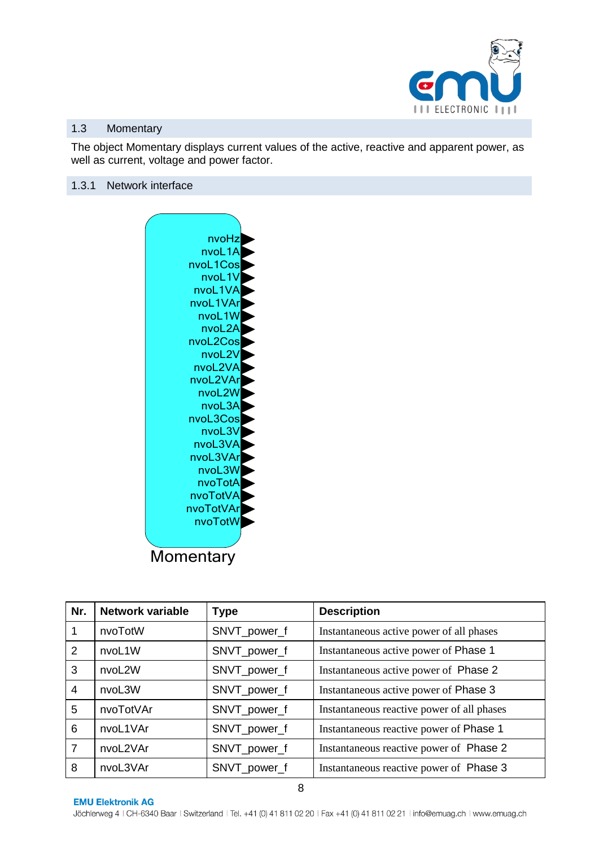

#### <span id="page-7-0"></span>1.3 Momentary

The object Momentary displays current values of the active, reactive and apparent power, as well as current, voltage and power factor.

#### <span id="page-7-1"></span>1.3.1 Network interface



| Nr.            | Network variable | <b>Type</b>  | <b>Description</b>                         |
|----------------|------------------|--------------|--------------------------------------------|
|                | nvoTotW          | SNVT_power_f | Instantaneous active power of all phases   |
| 2              | nvoL1W           | SNVT_power_f | Instantaneous active power of Phase 1      |
| 3              | nvoL2W           | SNVT_power_f | Instantaneous active power of Phase 2      |
| $\overline{4}$ | nvoL3W           | SNVT_power_f | Instantaneous active power of Phase 3      |
| 5              | nvoTotVAr        | SNVT_power_f | Instantaneous reactive power of all phases |
| 6              | nvoL1VAr         | SNVT_power_f | Instantaneous reactive power of Phase 1    |
| $\overline{7}$ | nvoL2VAr         | SNVT_power_f | Instantaneous reactive power of Phase 2    |
| 8              | nvoL3VAr         | SNVT_power_f | Instantaneous reactive power of Phase 3    |

**EMU Elektronik AG**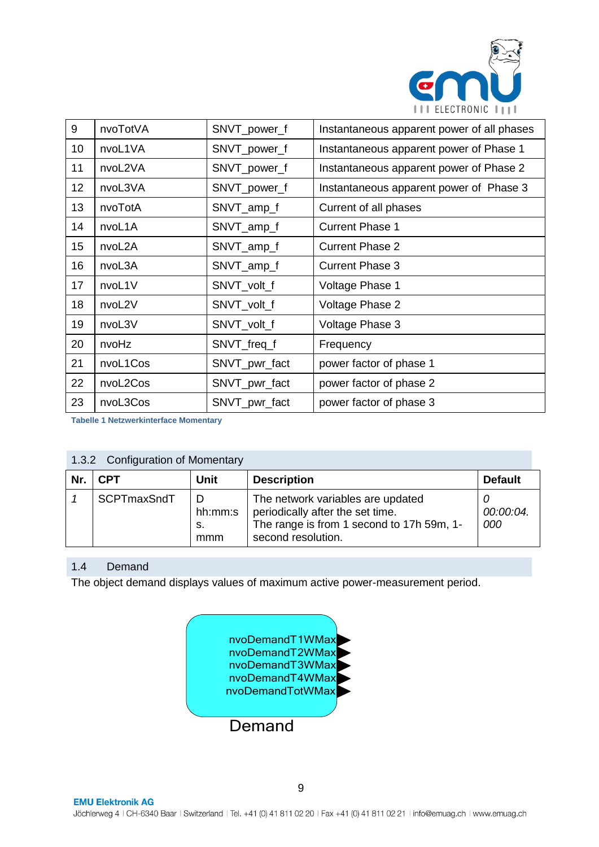

| 9  | nvoTotVA | SNVT_power_f  | Instantaneous apparent power of all phases |
|----|----------|---------------|--------------------------------------------|
| 10 | nvoL1VA  | SNVT_power_f  | Instantaneous apparent power of Phase 1    |
| 11 | nvoL2VA  | SNVT_power_f  | Instantaneous apparent power of Phase 2    |
| 12 | nvoL3VA  | SNVT_power_f  | Instantaneous apparent power of Phase 3    |
| 13 | nvoTotA  | SNVT_amp_f    | Current of all phases                      |
| 14 | nvoL1A   | SNVT_amp_f    | <b>Current Phase 1</b>                     |
| 15 | nvoL2A   | SNVT_amp_f    | <b>Current Phase 2</b>                     |
| 16 | nvoL3A   | SNVT_amp_f    | <b>Current Phase 3</b>                     |
| 17 | nvoL1V   | SNVT_volt_f   | Voltage Phase 1                            |
| 18 | nvoL2V   | SNVT_volt_f   | Voltage Phase 2                            |
| 19 | nvoL3V   | SNVT_volt_f   | Voltage Phase 3                            |
| 20 | nvoHz    | SNVT_freq_f   | Frequency                                  |
| 21 | nvoL1Cos | SNVT_pwr_fact | power factor of phase 1                    |
| 22 | nvoL2Cos | SNVT_pwr_fact | power factor of phase 2                    |
| 23 | nvoL3Cos | SNVT_pwr_fact | power factor of phase 3                    |

**Tabelle 1 Netzwerkinterface Momentary**

# <span id="page-8-0"></span>1.3.2 Configuration of Momentary

| Nr. | <b>CPT</b>  | <b>Unit</b>           | <b>Description</b>                                                                                                                       | <b>Default</b>   |  |  |
|-----|-------------|-----------------------|------------------------------------------------------------------------------------------------------------------------------------------|------------------|--|--|
|     | SCPTmaxSndT | hh:mm:s<br>-S.<br>mmm | The network variables are updated<br>periodically after the set time.<br>The range is from 1 second to 17h 59m, 1-<br>second resolution. | 00:00:04.<br>000 |  |  |

#### <span id="page-8-1"></span>1.4 Demand

The object demand displays values of maximum active power-measurement period.

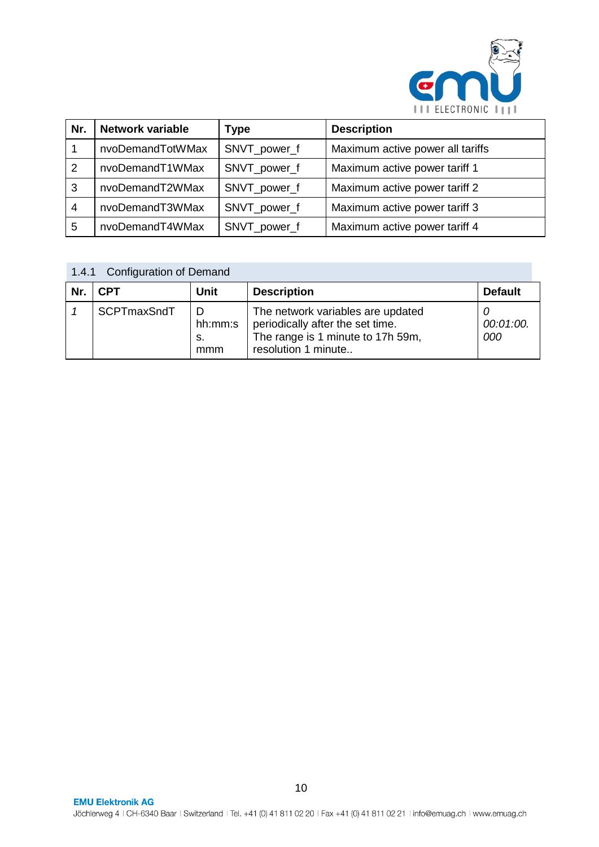

| Nr.            | Network variable | <b>Type</b>  | <b>Description</b>               |
|----------------|------------------|--------------|----------------------------------|
|                | nvoDemandTotWMax | SNVT_power_f | Maximum active power all tariffs |
| 2              | nvoDemandT1WMax  | SNVT_power_f | Maximum active power tariff 1    |
| 3              | nvoDemandT2WMax  | SNVT_power_f | Maximum active power tariff 2    |
| $\overline{4}$ | nvoDemandT3WMax  | SNVT_power_f | Maximum active power tariff 3    |
| 5              | nvoDemandT4WMax  | SNVT_power_f | Maximum active power tariff 4    |

<span id="page-9-0"></span>

|     | <b>Configuration of Demand</b><br>1.4.1 |                      |                                                                                                                                   |                       |  |  |
|-----|-----------------------------------------|----------------------|-----------------------------------------------------------------------------------------------------------------------------------|-----------------------|--|--|
| Nr. | <b>CPT</b>                              | <b>Unit</b>          | <b>Description</b>                                                                                                                | <b>Default</b>        |  |  |
|     | SCPTmaxSndT                             | hh:mm:s<br>S.<br>mmm | The network variables are updated<br>periodically after the set time.<br>The range is 1 minute to 17h 59m,<br>resolution 1 minute | U<br>00:01:00.<br>000 |  |  |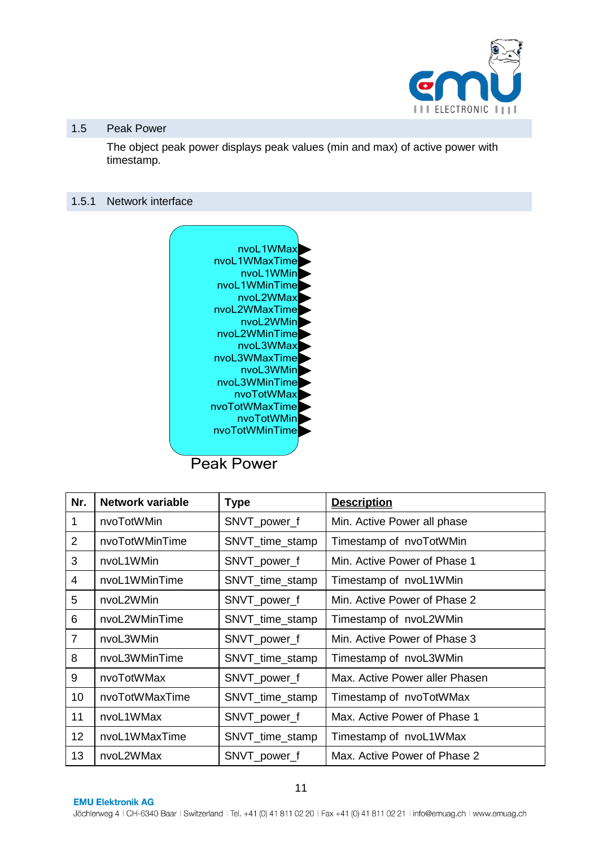

#### <span id="page-10-0"></span>1.5 Peak Power

The object peak power displays peak values (min and max) of active power with timestamp.

#### <span id="page-10-1"></span>1.5.1 Network interface



| Nr.            | <b>Network variable</b> | <b>Type</b>     | <b>Description</b>             |
|----------------|-------------------------|-----------------|--------------------------------|
| $\mathbf{1}$   | nvoTotWMin              | SNVT_power_f    | Min. Active Power all phase    |
| 2              | nvoTotWMinTime          | SNVT_time_stamp | Timestamp of nvoTotWMin        |
| 3              | nvoL1WMin               | SNVT_power_f    | Min. Active Power of Phase 1   |
| $\overline{4}$ | nvoL1WMinTime           | SNVT_time_stamp | Timestamp of nvoL1WMin         |
| 5              | nvoL2WMin               | SNVT_power_f    | Min. Active Power of Phase 2   |
| 6              | nvoL2WMinTime           | SNVT_time_stamp | Timestamp of nvoL2WMin         |
| $\overline{7}$ | nvoL3WMin               | SNVT_power_f    | Min. Active Power of Phase 3   |
| 8              | nvoL3WMinTime           | SNVT_time_stamp | Timestamp of nvoL3WMin         |
| 9              | nvoTotWMax              | SNVT_power_f    | Max. Active Power aller Phasen |
| 10             | nvoTotWMaxTime          | SNVT_time_stamp | Timestamp of nvoTotWMax        |
| 11             | nvoL1WMax               | SNVT_power_f    | Max. Active Power of Phase 1   |
| 12             | nvoL1WMaxTime           | SNVT_time_stamp | Timestamp of nvoL1WMax         |
| 13             | nvoL2WMax               | SNVT_power_f    | Max. Active Power of Phase 2   |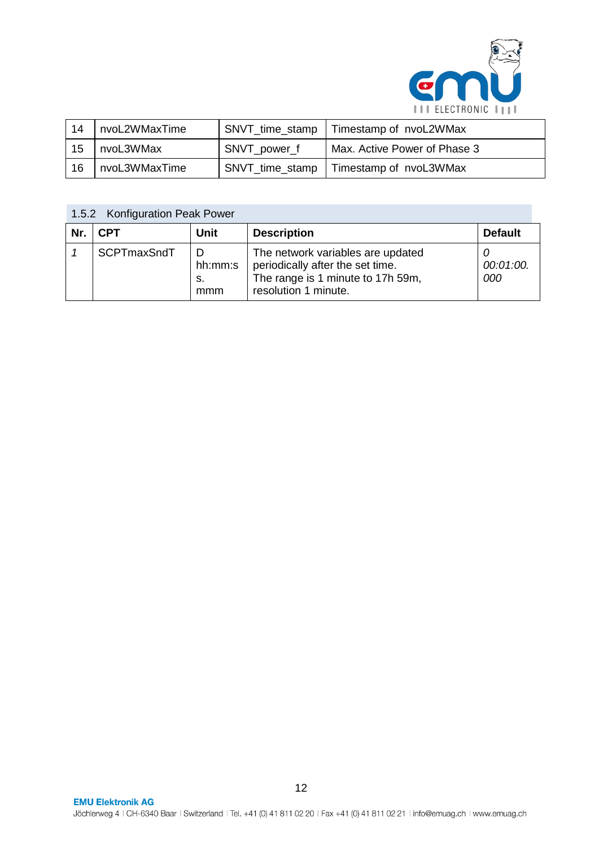

| -14 | nvoL2WMaxTime |                 | SNVT_time_stamp   Timestamp of nvoL2WMax |
|-----|---------------|-----------------|------------------------------------------|
| 15  | nvoL3WMax     | SNVT power f    | Max. Active Power of Phase 3             |
| -16 | nvoL3WMaxTime | SNVT_time_stamp | Timestamp of nvoL3WMax                   |

<span id="page-11-0"></span>

| 1.5.2 Konfiguration Peak Power |             |                      |                                                                                                                                    |                  |
|--------------------------------|-------------|----------------------|------------------------------------------------------------------------------------------------------------------------------------|------------------|
| Nr.                            | <b>CPT</b>  | <b>Unit</b>          | <b>Description</b>                                                                                                                 | <b>Default</b>   |
|                                | SCPTmaxSndT | hh:mm:s<br>s.<br>mmm | The network variables are updated<br>periodically after the set time.<br>The range is 1 minute to 17h 59m,<br>resolution 1 minute. | 00:01:00.<br>000 |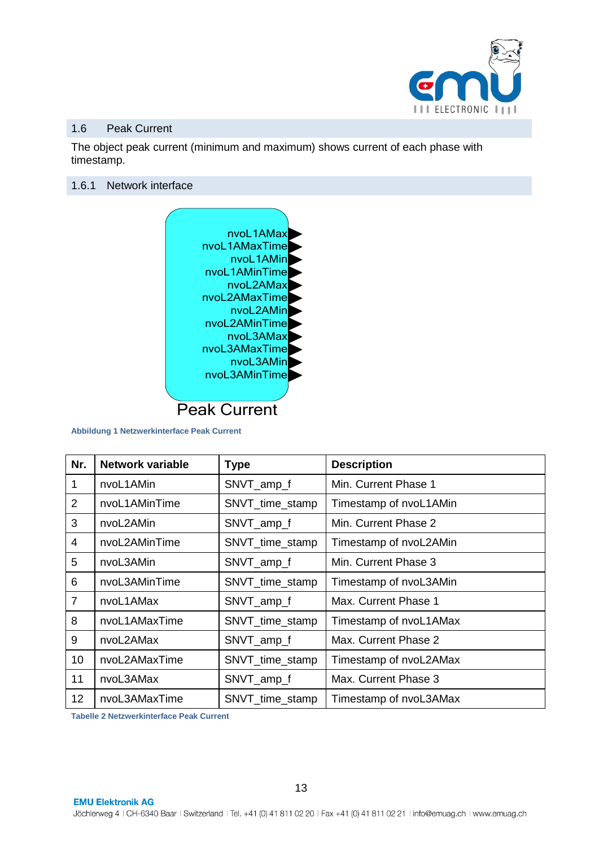

#### <span id="page-12-0"></span>1.6 Peak Current

The object peak current (minimum and maximum) shows current of each phase with timestamp.

#### <span id="page-12-1"></span>1.6.1 Network interface



**Abbildung 1 Netzwerkinterface Peak Current**

| Nr.            | <b>Network variable</b> | <b>Type</b>     | <b>Description</b>     |
|----------------|-------------------------|-----------------|------------------------|
| 1              | nvoL1AMin               | SNVT_amp_f      | Min. Current Phase 1   |
| 2              | nvoL1AMinTime           | SNVT_time_stamp | Timestamp of nvoL1AMin |
| 3              | nvoL2AMin               | SNVT_amp_f      | Min. Current Phase 2   |
| $\overline{4}$ | nvoL2AMinTime           | SNVT_time_stamp | Timestamp of nvoL2AMin |
| 5              | nvoL3AMin               | SNVT_amp_f      | Min. Current Phase 3   |
| 6              | nvoL3AMinTime           | SNVT_time_stamp | Timestamp of nvoL3AMin |
| $\overline{7}$ | nvoL1AMax               | SNVT_amp_f      | Max. Current Phase 1   |
| 8              | nvoL1AMaxTime           | SNVT_time_stamp | Timestamp of nvoL1AMax |
| 9              | nvoL2AMax               | SNVT_amp_f      | Max. Current Phase 2   |
| 10             | nvoL2AMaxTime           | SNVT_time_stamp | Timestamp of nvoL2AMax |
| 11             | nvoL3AMax               | SNVT_amp_f      | Max. Current Phase 3   |
| 12             | nvoL3AMaxTime           | SNVT_time_stamp | Timestamp of nvoL3AMax |

**Tabelle 2 Netzwerkinterface Peak Current**

**EMU Elektronik AG**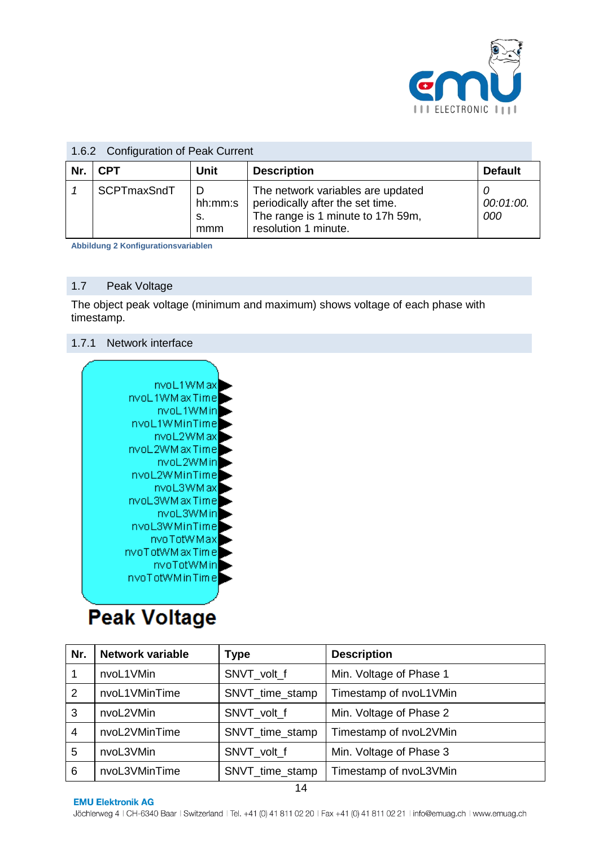

| 1.6.2 Configuration of Peak Current |             |                      |                                                                                                                                    |                  |
|-------------------------------------|-------------|----------------------|------------------------------------------------------------------------------------------------------------------------------------|------------------|
| Nr.                                 | <b>CPT</b>  | <b>Unit</b>          | <b>Description</b>                                                                                                                 | <b>Default</b>   |
|                                     | SCPTmaxSndT | hh:mm:s<br>s.<br>mmm | The network variables are updated<br>periodically after the set time.<br>The range is 1 minute to 17h 59m,<br>resolution 1 minute. | 00:01:00.<br>000 |

#### <span id="page-13-0"></span>1.6.2 Configuration of Peak Current

**Abbildung 2 Konfigurationsvariablen**

#### <span id="page-13-1"></span>1.7 Peak Voltage

The object peak voltage (minimum and maximum) shows voltage of each phase with timestamp.

#### <span id="page-13-2"></span>1.7.1 Network interface



# **Peak Voltage**

| Nr. | <b>Network variable</b> | <b>Type</b>     | <b>Description</b>      |
|-----|-------------------------|-----------------|-------------------------|
|     | nvoL1VMin               | SNVT volt f     | Min. Voltage of Phase 1 |
| 2   | nvoL1VMinTime           | SNVT_time_stamp | Timestamp of nvoL1VMin  |
| 3   | nvoL2VMin               | SNVT_volt_f     | Min. Voltage of Phase 2 |
| 4   | nvoL2VMinTime           | SNVT_time_stamp | Timestamp of nvoL2VMin  |
| 5   | nvoL3VMin               | SNVT volt f     | Min. Voltage of Phase 3 |
| 6   | nvoL3VMinTime           | SNVT_time_stamp | Timestamp of nvoL3VMin  |
| .   |                         |                 |                         |

#### **EMU Elektronik AG**

Jöchlerweg 4 | CH-6340 Baar | Switzerland | Tel. +41 (0) 41 811 02 20 | Fax +41 (0) 41 811 02 21 | info@emuag.ch | www.emuag.ch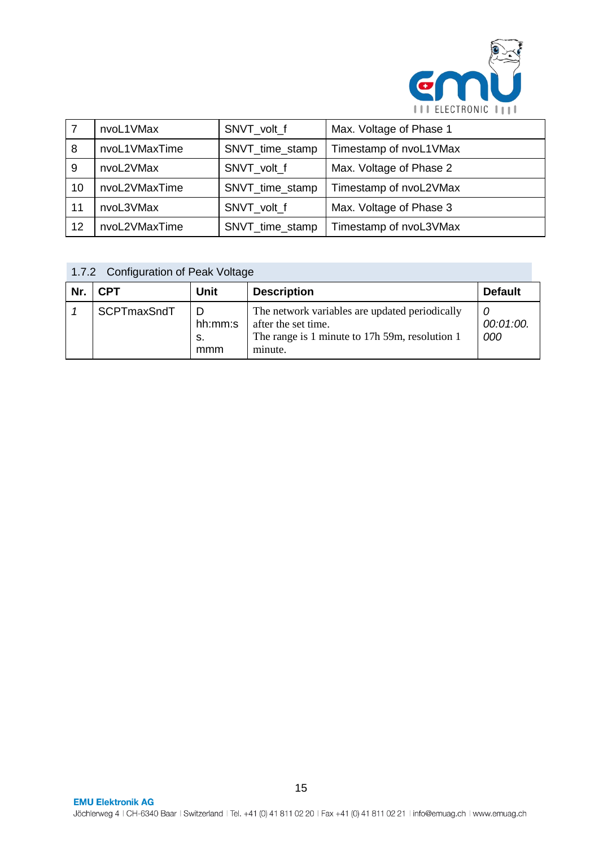

|    | nvoL1VMax     | SNVT_volt_f     | Max. Voltage of Phase 1 |
|----|---------------|-----------------|-------------------------|
| 8  | nvoL1VMaxTime | SNVT_time_stamp | Timestamp of nvoL1VMax  |
| 9  | nvoL2VMax     | SNVT_volt_f     | Max. Voltage of Phase 2 |
| 10 | nvoL2VMaxTime | SNVT_time_stamp | Timestamp of nvoL2VMax  |
| 11 | nvoL3VMax     | SNVT volt f     | Max. Voltage of Phase 3 |
| 12 | nvoL2VMaxTime | SNVT_time_stamp | Timestamp of nvoL3VMax  |

<span id="page-14-0"></span>1.7.2 Configuration of Peak Voltage

| Nr. | <b>CPT</b>  | <b>Unit</b>          | <b>Description</b>                                                                                                                 | <b>Default</b>   |
|-----|-------------|----------------------|------------------------------------------------------------------------------------------------------------------------------------|------------------|
|     | SCPTmaxSndT | hh:mm:s<br>S.<br>mmm | The network variables are updated periodically<br>after the set time.<br>The range is 1 minute to 17h 59m, resolution 1<br>minute. | 00:01:00.<br>000 |